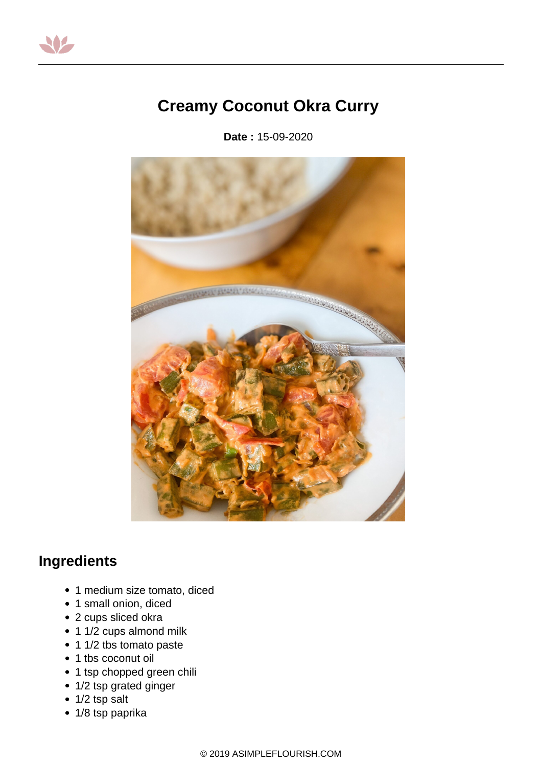

## **Creamy Coconut Okra Curry**

**Date :** 15-09-2020



## **Ingredients**

- 1 medium size tomato, diced
- 1 small onion, diced
- 2 cups sliced okra
- 1 1/2 cups almond milk
- 1 1/2 tbs tomato paste
- 1 tbs coconut oil
- 1 tsp chopped green chili
- 1/2 tsp grated ginger
- 1/2 tsp salt
- 1/8 tsp paprika